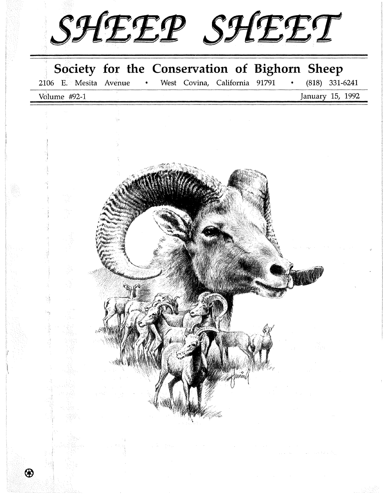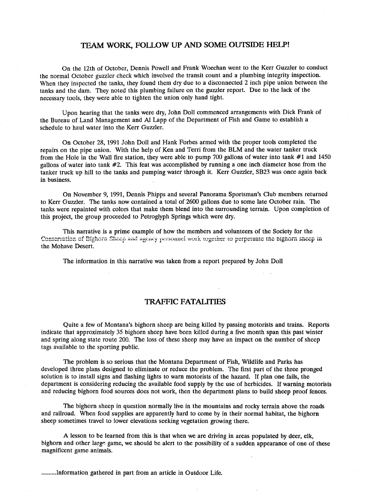## **TEAM WORK, FOLLOW UP AND SOME OUTSIDE HELP!**

On the 12th of October, Dennis Powell and Frank Woechan went to the Kerr Guzzler to conduct the normal October guzzler check which involved the transit count and a plumbing integrity inspection. When they inspected the tanks, they found them dry due to a disconnected 2 inch pipe union between the tanks and the dam. They noted this plumbing failure on the guzzler report. Due to the lack of the necessary tools, they were able to tighten the union only hand tight.

Upon hearing that the tanks were dry, John Doll commenced arrangements with Dick Frank of the Bureau of Land Management and Al Lapp of the Department of Fish and Game to establish a schedule to haul water into the Kerr Guzzler.

On October 28, 1991 John Doll and Hank Forbes armed with the proper tools completed the repairs on the pipe union. With the help of Ken and Terri from the BLM and the water tanker truck from the Hole in the Wall fire station, they were able to pump 700 gallons of water into tank #1 and 1450 gallons of water into tank #2. This feat was accomplished by running a one inch diameter hose from the tanker truck up hill to the tanks and pumping water through it. Kerr Guzzler, SB23 was once again back in business.

On November 9, 1991, Dennis Phipps and several Panorama Sportsman's Club members returned to Kerr Guzzler. The tanks now contained a total of 2600 gallons due to some late October rain. The tanks were repainted with colors that make them blend into the surrounding terrain. Upon completion of this project, the group proceeded to Petroglyph Springs which were dry.

This narrative is a prime example of how the members and volunteers of the Society for the Conservation of Bighorn Sheep and agency personnel work together to perpetuate the bighorn sheep in the Mohave Desert.

The information in this narrative was taken from a report prepared by John Doll

### **TRAFFIC FATALITIES**

Quite a few of Montana's bighorn sheep are being killed by passing motorists and trains. Reports indicate that approximately 35 bighorn sheep have been killed during a five month span this past winter and spring along state route 200. The loss of these sheep may have an impact on the number of sheep tags available to the sporting public.

The problem is so serious that the Montana Department of Fish, Wildlife and Parks has developed three plans designed to eliminate or reduce the problem. The first part of the three pronged solution is to install signs and flashing lights to warn motorists of the hazard. If plan one fails, the department is considering reducing the available food supply by the use of herbicides. If warning motorists and reducing bighorn food sources does not work, then the department plans to build sheep proof fences.

The bighorn sheep in question normally live in the mountains and rocky terrain above the roads and railroad. When food supplies are apparently hard to come by in their normal habitat, the bighorn sheep sometimes travel to lower elevations seeking vegetation growing there.

A lesson to be learned from this is that when we are driving in areas populated by deer, elk, bighorn and other large game, we should be alert to the possibility of a sudden appearance of one of these magnificent game animals.

.......... Information gathered in part from an article in Outdoor Life.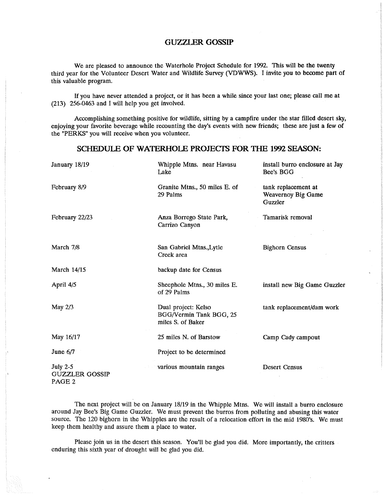## **GUZZI.ER GOSSIP**

We are pleased to announce the Waterhole Project Schedule for 1992. This will be the twenty third year for the Volunteer Desert Water and Wildlife Survey (VDWWS). I invite you to become part of this valuable program.

If you have never attended a project, or it has been a while since your last one; please call me at (213) 256-0463 and I will help you get involved.

Accomplishing something positive for wildlife, sitting by a campfire under the star filled desert sky, enjoying your favorite beverage while recounting the day's events with new friends; these are just a few of the "PERKS" you will receive when you volunteer.

## SCHEDULE OF WATERHOLE PROJECTS FOR THE 1992 SEASON:

| January 18/19                                                 | Whipple Mtns. near Havasu<br>Lake                                   | install burro enclosure at Jay<br>Bee's BGG          |
|---------------------------------------------------------------|---------------------------------------------------------------------|------------------------------------------------------|
| February 8/9                                                  | Granite Mtns., 50 miles E. of<br>29 Palms                           | tank replacement at<br>Weavernoy Big Game<br>Guzzler |
| February 22/23                                                | Anza Borrego State Park,<br>Carrizo Canyon                          | Tamarisk removal                                     |
| March 7/8                                                     | San Gabriel Mtns., Lytle<br>Creek area                              | <b>Bighorn Census</b>                                |
| March 14/15                                                   | backup date for Census                                              |                                                      |
| April 4/5                                                     | Sheephole Mtns., 30 miles E.<br>of 29 Palms                         | install new Big Game Guzzler                         |
| May $2/3$                                                     | Dual project: Kelso<br>BGG/Vermin Tank BGG, 25<br>miles S. of Baker | tank replacement/dam work                            |
| May 16/17                                                     | 25 miles N. of Barstow                                              | Camp Cady campout                                    |
| June $6/7$                                                    | Project to be determined                                            |                                                      |
| <b>July 2-5</b><br><b>GUZZLER GOSSIP</b><br>PAGE <sub>2</sub> | various mountain ranges                                             | Desert Census<br>233                                 |

The next project will be on January 18/19 in the Whipple Mtns. We will install a burro enclosure around Jay Bee's Big Game Guzzler. We must prevent the burros from polluting and abusing this water source. The 120 bighorn in the Whipples are the result of a relocation effort in the mid 1980's. We must keep them healthy and assure them a place to water.

Please join us in the desert this season. You'll be glad you did. More importantly, the critters enduring this sixth year of drought will be glad you did.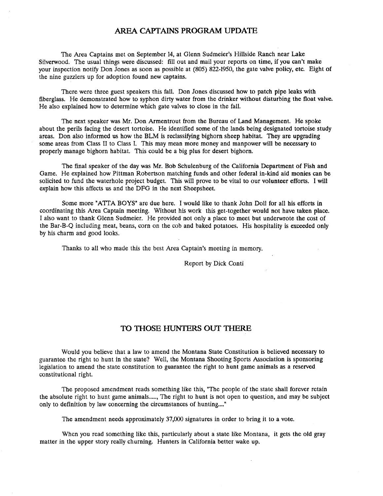# **AREA CAPTAINS PROGRAM UPDATE**

The Area Captains met on September 14, at Glenn Sudmeier's Hillside Ranch near Lake Silverwood. The usual things were discussed: fill out and mail your reports on time, if you can't make your inspection notify Don Jones as soon as possible at (805) 822-1950, the gate valve policy, etc. Eight of the nine guzzlers up for adoption found new captains.

There were three guest speakers this fall. Don Jones discussed how to patch pipe leaks with fiberglass. He demonstrated how to syphon dirty water from the drinker without disturbing the float valve. He also explained how to determine which gate valves to close in the fall.

The next speaker was Mr. Don Armentrout from the Bureau of Land Management. He spoke about the perils facing the desert tortoise. He identified some of the lands being designated tortoise study areas. Don also informed us how the BLM is reclassifying bighorn sheep habitat. They are upgrading some areas from Class II to Class I. This may mean more money and manpower will be necessary to properly manage bighorn habitat. This could be a big plus for desert bighorn.

The final speaker of the day was Mr. Bob Schulenburg of the California Department of Fish and Game. He explained how Pittman Robertson matching funds and other federal in-kind aid monies can be solicited to fund the waterhole project budget. This will prove to be vital to our volunteer efforts. I will explain how this affects us and the DFG in the next Sheepsheet.

Some more "ATTA BOYS" are due here. I would like to thank John Doll for all his efforts in coordinating this Area Captain meeting. Without his work this get-together would not have taken place. I also want to thank Glenn Sudmeier. He provided not only a place to meet but underwrote the cost of the Bar-B-Q including meat, beans, corn on the cob and baked potatoes. His hospitality is exceeded only by his charm and good looks.

Thanks to all who made this the best Area Captain's meeting in memory.

Report by Dick Conti

## **TO THOSE HUNTERS OUT THERE**

Would you believe that a law to amend the Montana State Constitution is believed necessary to guarantee the right to hunt in the state? Well, the Montana Shooting Sports Association is sponsoring legislation to amend the state constitution to guarantee the right to hunt game animals as a reserved constitutional right.

The proposed amendment reads something like this, "The people of the state shall forever retain the absolute right to hunt game animals....., The right to hunt is not open to question, and may be subject only to definition by law concerning the circumstances of hunting...."

The amendment needs approximately 37,000 signatures in order to bring it to a vote.

When you read something like this, particularly about a state like Montana, it gets the old gray matter in the upper story really churning. Hunters in California better wake up.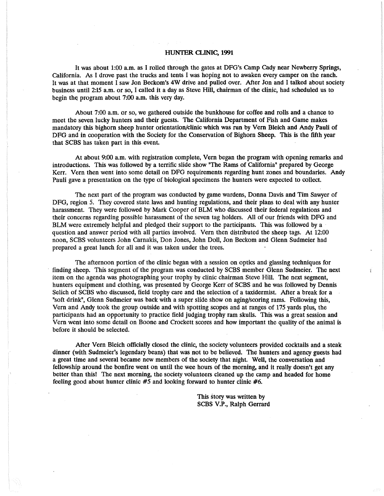### **HUNTER CLINIC, 1991**

It was about 1:00 a.m. as I rolled through the gates at DFG's camp cady near Newberry Springs, california. As I drove past the trucks and tents I was hoping not to awaken every camper on the ranch. It was at that moment I saw Jon Beckom's 4W drive and pulled over. After Jon and I talked about society business until 2:15 a.m. or so, I called it a day as Steve Hill, chairman of the clinic, had scheduled us to begin the program about  $7:00$  a.m. this very day.

About 7:00 a.m. or so, we gathered outside the bunkhouse for coffee and rolls and a chance to meet the seven lucky hunters and their guests. The california Department of Fish and Game makes mandatory this bighorn sheep hunter orientation/clinic which was run by Vern Bleich and Andy Pauli of DFG and in cooperation with the Society for the Conservation of Bighorn Sheep. This is the fifth year that SCBS has taken part in this event.

At about 9:00 a.m. with registration complete, Vern began the program with opening remarks and introductions. This was followed by a terrific slide show "The Rams of california" prepared by George Kerr. Vern then went into some detail on DFG requirements regarding hunt zones and boundaries. Andy Pauli gave a presentation on the type of biological specimens the hunters were expected to collect.

The next part of the program was conducted by game wardens, Donna Davis and Tim Sawyer of DFG, region 5. They covered state laws and hunting regulations, and their plans to deal with any hunter harassment. They were followed by Mark Cooper of BLM who discussed their federal regulations and their concerns regarding possible harassment of the seven tag holders. All of our friends with DFG and BLM were extremely helpful and pledged their support to the participants. This was followed by a question and answer period with all parties involved. Vern then distributed the sheep tags. At 12:00 noon, SCBS volunteers John carnakis, Don Jones, John Doll, Jon Beckom and Glenn Sudmeier had prepared a great lunch for all and it was taken under the trees.

The afternoon portion of the clinic began with a session on optics and glassing techniques for finding sheep. This segment of the program was conducted by SCBS member Glenn Sudmeier. The next item on the agenda was photographing your trophy by clinic chairman Steve Hill. The next segment, hunters equipment and clothing, was presented by George Kerr of SCBS and he was followed by Dennis Selich of SCBS who discussed, field trophy care and the selection of a taxidermist. After a break for a "soft drink", Glenn Sudmeier was back with a super slide show on aging/scoring rams. Following this, Vern and Andy took the group outside and with spotting scopes and at ranges of 175 yards plus, the participants had an opportunity to practice field judging trophy ram skulls. This was a great session and Vern went into some detail on Boone and Crockett scores and how important the quality of the animal is before it should be selected.

After Vern Bleich officially closed the clinic, the society volunteers provided cocktails and a steak dinner (with Sudmeier's legendary beans) that was not to be believed. The hunters and agency guests had a great time and several became new members of the society that night. Well, the conversation and fellowship around the bonfire went on until the wee hours of the morning, and it really doesn't get any better than this! The next morning, the society volunteers cleaned up the camp and headed for home feeling good about hunter clinic *#5* and looking forward to hunter clinic #6.

> This story was written by SCBS V.P., Ralph Gerrard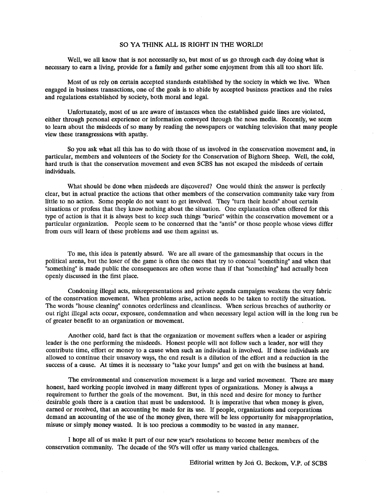### SO YA THINK ALL IS RIGHT IN THE WORLD!

Well, we all know that is not necessarily so, but most of us go through each day doing what is necessary to earn a living, provide for a family and gather some enjoyment from this all too short life.

Most of us rely on certain accepted standards established by the society in which we live. When engaged in business transactions, one of the goals is to abide by accepted business practices and the rules and regulations established by society, both moral and legal.

Unfortunately, most of us are aware of instances when the established guide lines are violated, either through personal experience or information conveyed through the news media. Recently, we seem to learn about the misdeeds of so many by reading the newspapers or watching television that many people view these transgressions with apathy.

So you ask what all this has to do with those of us involved in the conservation movement and, in particular, members and volunteers of the Society for the Conservation of Bighorn Sheep. Well, the cold, hard truth is that the conservation movement and even SCBS has not escaped the misdeeds of certain individuals.

What should be done when misdeeds are discovered? One would think the answer is perfectly clear, but in actual practice the actions that other members of the conservation community take vary from little to no action. Some people do not want to get involved. They "turn their heads" about certain situations or profess that they know nothing about the situation. One explanation often offered for this type of action is that it is always best to keep such things "buried" within the conservation movement or a particular organization. People seem to be concerned that the "antis" or those people whose views differ from ours will learn of these problems and use them against us.

To me, this idea is patently absurd. We are all aware of the gamesmanship that occurs in the political arena, but the loser of the game is often the ones that try to conceal "something" and when that "something" is made public the consequences are often worse than if that "something" had actually been openly discussed in the first place.

Condoning illegal acts, misrepresentations and private agenda campaigns weakens the very fabric of the conservation movement. When problems arise, action needs to be taken to rectify the situation. The words "house cleaning" connotes orderliness and cleanliness. When serious breaches of authority or out right illegal acts occur, exposure, condemnation and when necessary legal action will in the long run be of greater benefit to an organization or movement.

Another cold, hard fact is that the organization or movement suffers when a leader or aspiring leader is the one performing the misdeeds. Honest people will not follow such a leader, nor will they contribute time, effort or money to a cause when such an individual is involved. If these individuals are allowed to continue their unsavory ways, the end result is a dilution of the effort and a reduction in the success of a cause. At times it is necessary to "take your lumps" and get on with the business at hand.

The environmental and conservation movement is a large and varied movement. There are many honest, hard working people involved in many different types of organizations. Money is always a requirement to further the goals of the movement. But, in this need and desire for money to further desirable goals there is a caution that must be understood. It is imperative that when money is given, earned or received, that an accounting be made for its use. If people, organizations and corporations demand an accounting of the use of the money given, there will be less opportunity for misappropriation, misuse or simply money wasted. It is too precious a commodity to be wasted in any manner.

I hope all of us make it part of our new year's resolutions to become better members of the conservation community. The decade of the 90's will offer us many varied challenges.

Editorial written by Jon G. Beckom, V.P. of SCBS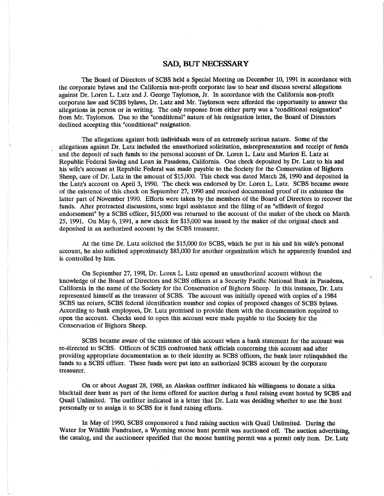### **SAD, BUT NECESSARY**

The Board of Directors of SCBS held a Special Meeting on December 10, 1991 in accordance with the corporate bylaws and the California non-profit corporate law to hear and discuss several allegations against Dr. Loren L. Lutz and J. George Taylorson, Jr. In accordance with the California non-profit corporate law and SCBS bylaws, Dr. Lutz and Mr. Taylorson were afforded the opportunity to answer the allegations in person or in writing. The only response from either party was a "conditional resignation" from Mr. Taylorson. Due to the "conditional" nature of his resignation letter, the Board of Directors declined accepting this "conditional" resignation.

The allegations against both individuals were of an extremely serious nature. Some of the allegations against Dr. Lutz included the unauthorized solicitation, misrepresentation and receipt of funds and the deposit of such funds to the personal account of Dr. Loren L. Lutz and Marion E. Lutz at Republic Federal Saving and Loan in Pasadena, California. One check deposited by Dr. Lutz to his and his wife's account at Republic Federal was made payable to the Society for the Conservation of Bighorn Sheep, care of Dr. Lutz in the amount of \$15,000. This check was dated March 28, 1990 and deposited in the Lutz's account on April 3, 1990. The check was endorsed by Dr. Loren L. Lutz. SCBS became aware of the existence of this check on September 27, 1990 and received documented proof of its existence the latter part of November 1990. Efforts were taken by the members of the Board of Directors to recover the funds. After protracted discussions, some legal assistance and the filing of an "affidavit of forged endorsement" by a SCBS officer, \$15,000 was returned to the account of the maker of the check on March 25, 1991. On May 6, 1991, a new check for \$15,000 was issued by the maker of the original check and deposited in an authorized account by the SCBS treasurer.

At the time Dr. Lutz solicited the \$15,000 for SCBS, which he put in his and his wife's personal account, he also solicited approximately \$85,000 for another organization which he apparently founded and is controlled by him.

On September 27, 1991, Dr. Loren L. Lutz opened an unauthorized account without the knowledge of the Board of Directors and SCBS officers at a Security Pacific National Bank in Pasadena, California in the name of the Society for the Conservation of Bighorn Sheep. In this instance, Dr. Lutz represented himself as the treasurer of SCBS. The account was initially opened with copies of a 1984 SCBS tax return, SCBS federal identification number and copies of proposed changes of SCBS bylaws. According to bank employees, Dr. Lutz promised to provide them with the documentation required to open the account. Checks used to open this account were made payable to the Society for the Conservation of Bighorn Sheep.

SCBS became aware of the existence of this account when a bank statement for the account was re-directed to SCBS. Officers of SCBS confronted bank officials concerning this account and after providing appropriate documentation as to their identity as SCBS officers, the bank later relinquished the funds to a SCBS officer. These funds were put into an authorized SCBS account by the corporate treasurer.

On or about August 28, 1988, an Alaskan outfitter indicated his willingness to donate a sitka blacktail deer hunt as part of the items offered for auction during a fund raising event hosted by SCBS and Quail Unlimited. The outfitter indicated in a letter that Dr. Lutz was deciding whether to use the hunt personally or to assign it to SCBS for it fund raising efforts.

In May of 1990, SCBS cosponsored a fund raising auction with Quail Unlimited. During the Water for Wildlife Fundraiser, a Wyoming moose hunt permit was auctioned off. The auction advertising, the catalog, and the auctioneer specified that the moose hunting permit was a permit only item. Dr. Lutz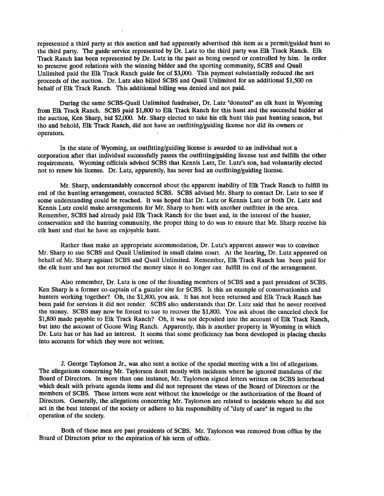represented a third party at this auction and had apparently advertised this item as a permit/guided hunt to the third party. The guide service represented by Dr. Lutz to the third party was Elk Track Ranch. Elk Track Ranch has been represented by Dr. Lutz in the past as being owned or controlled by him. In order to preserve good relations with the winning bidder and the sporting community, SCBS and Quail Unlimited paid the Elk Track Ranch guide fee of \$3,000. This payment substantially reduced the net proceeds of the auction. Dr. Lutz also billed SCBS and Quail Unlimited for an additional \$1,500 on behalf of Elk Track Ranch. This additional billing was denied and not paid.

During the same SCBS-Quail Unlimited fundraiser, Dr. Lutz "donated" an elk hunt in Wyoming from Elk Track Ranch. SCBS paid \$1,800 to Elk Track Ranch for this hunt and the successful bidder at the auction, Ken Sharp, bid \$2,000. Mr. Sharp elected to take his elk hunt this past hunting season, but tho and behold, Elk Track Ranch, did not have an outfitting/guiding license nor did its owners or operators.

In the state of Wyoming, an outfitting/guiding license is awarded to an individual not a corporation after that individual successfully passes the outfitting/guiding license test and fulfills the other requirements. Wyoming officials advised SCBS that Kennis Lutz, Dr. Lutz's son, had voluntarily elected not to renew his license. Dr. Lutz, apparently, has never had an outfitting/guiding license.

Mr. Sharp, understandably concerned about the apparent inability of Elk Track Ranch to fulfill its end of the hunting arrangement, contacted SCBS. SCBS advised Mr. Sharp to contact Dr. Lutz to see if some understanding could be reached. It was hoped that Dr. Lutz or Kennis Lutz or both Dr. Lutz and Kennis Lutz could make arrangements for Mr. Sharp to hunt with another outfitter in the area. Remember, SCBS had already paid Elk Track Ranch for the hunt and, in the interest of the hunter, conservation and the hunting community, the proper thing to do was to ensure that Mr. Sharp receive his elk hunt and that he have an enjoyable hunt.

Rather than make an appropriate accommodation, Dr. Lutz's apparent answer was to convince Mr. Sharp to sue SCBS and Quail Unlimited in small claims court. At the hearing, Dr. Lutz appeared on behalf of Mr. Sharp against SCBS and Quail Unlimited. Remember, Elk Track Ranch has been paid for the elk hunt and has not returned the money since it no longer can fulfill its end of the arrangement.

Also remember, Dr. Lutz is one of the founding members of SCBS and a past president of SCBS. Ken Sharp is a former co-captain of a guzzler site for SCBS. Is this an example of conservationists and hunters working together? Oh, the \$1,800, you ask. It has not been returned and Elk Track Ranch has been paid for services it did not render. SCBS also understands that Dr. Lutz said that he never received the money. SCBS may now be forced to sue to recover the \$1,800. You ask about the canceled check for \$1,800 made payable to Elk Track Ranch? Oh, it was not deposited into the account of Elk Track Ranch, but into the account of Goose Wing Ranch. Apparently, this is another property in Wyoming in which Dr. Lutz has or has had an interest. It seems that some proficiency has been developed in placing checks into accounts for which they were not written.

J. George Taylorson Jr., was also sent a notice of the special meeting with a list of allegations. The allegations concerning Mr. Taylorson dealt mostly with incidents where he ignored mandates of the Board of Directors. In more than one instance, Mr. Taylorson signed letters written on SCBS letterhead which dealt with private agenda items and did not represent the views of the Board of Directors or the members of SCBS. These letters were sent without the knowledge or the authorization of the Board of Directors. Generally, the allegations concerning Mr. Taylorson are related to incidents where he did not act in the best interest of the society or adhere to his responsibility of "duty of care" in regard to the operation of the society.

Both of these men are past presidents of SCBS. Mr. Taylorson was removed from office by the Board of Directors prior to the expiration of his term of office.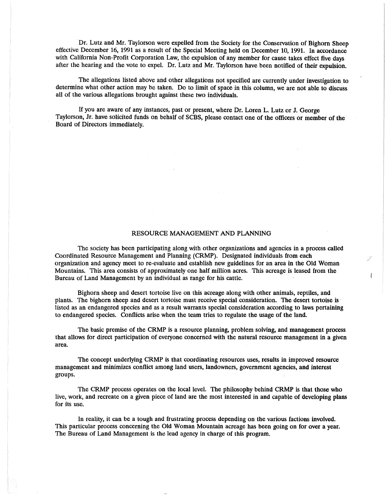Dr. Lutz and Mr. Taylorson were expelled from the Society for the Conservation of Bighorn Sheep effective December 16, 1991 as a result of the Special Meeting held on December 10, 1991. In accordance with California Non-Profit Corporation Law, the expulsion of any member for cause takes effect five days after the hearing and the vote to expel. Dr. Lutz and Mr. Taylorson have been notified of their expulsion.

The allegations listed above and other allegations not specified are currently under investigation to determine what other action may be taken. Do to limit of space in this column, we are not able to discuss all of the various allegations brought against these two individuals.

If you are aware of any instances, past or present, where Dr. Loren L. Lutz or J. George Taylorson, Jr. have solicited funds on behalf of SCBS, please contact one of the officers or member of the Board of Directors immediately.

### RESOURCE MANAGEMENT AND PLANNING

The society has been participating along with other organizations and agencies in a process called Coordinated Resource Management and Planning (CRMP). Designated individuals from each organization and agency meet to re-evaluate and establish new guidelines for an area in the Old Woman Mountains. This area consists of approximately one half million acres. This acreage is leased from the Bureau of Land Management by an individual as range for his cattle.

彳

Bighorn sheep and desert tortoise live on this acreage along with other animals, reptiles, and plants. The bighorn sheep and desert tortoise must receive special consideration. The desert tortoise is · listed as an endangered species and as a result warrants special consideration according to laws pertaining to endangered species. Conflicts arise when the team tries to regulate the usage of the land.

The basic premise of the CRMP is a resource planning, problem solving, and management process that allows for direct participation of everyone concerned with the natural resource management in a given area.

The concept underlying CRMP is that coordinating resources uses, results in improved resource management and minimizes conflict among land users, landowners, government agencies, and interest groups.

The CRMP process operates on the local level. The philosophy behind CRMP is that those who live, work, and recreate on a given piece of land are the most interested in and capable of developing plans for its use.

In reality, it can be a tough and frustrating process depending on the various factions involved. This particular process concerning the Old Woman Mountain acreage has been going on for over a year. The Bureau of Land Management is the lead agency in charge of this program.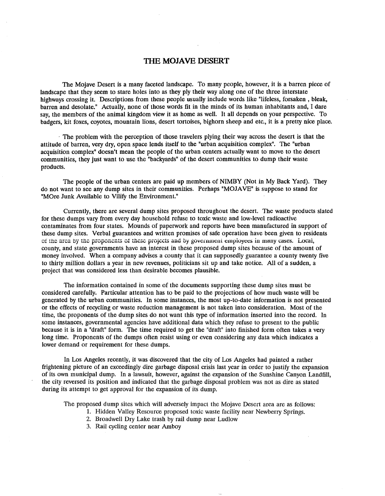## **THE MOJAVE DESERT**

The Mojave Desert is a many faceted landscape. To many people, however, it is a barren piece of landscape that they seem to stare holes into as they ply their way along one of the three interstate highways crossing it. Descriptions from these people usually include words like "lifeless, forsaken , bleak, barren and desolate." Actually, none of those words fit in the minds of its human inhabitants and, I dare say, the members of the animal kingdom view it as home as well. It all depends on your perspective. To badgers, kit foxes, coyotes, mountain lions, desert tortoises, bighorn sheep and etc., it is a pretty nice place.

· The problem with the perception of those travelers plying their way across the desert is that the attitude of barren, very dry, open space lends itself to the "urban acquisition complex". The "urban acquisition complex" doesn't mean the people of the urban centers actually want to move to the desert communities, they just want to use the "backyards" of the desert communities to dump their waste products.

The people of the urban centers are paid up members of NIMBY (Not in My Back Yard). They do not want to see any dump sites in their communities. Perhaps "MOJAVE" is suppose to stand for "MOre Junk Available to Vilify the Environment."

Currently, there are several dump sites proposed throughout the desert. The waste products slated for these dumps vary from every day household refuse to toxic waste and low-level radioactive contaminates from four states. Mounds of paperwork and reports have been manufactured in support of these dump sites. Verbal guarantees and written promises of safe operation have been given to residents of the area by the proponents of these projects and by government employees in many cases. Local, county, and state governments have an interest in these proposed dump sites because of the amount of money involved. When a company advises a county that it can supposedly guarantee a county twenty five to thirty million dollars a year in new revenues, politicians sit up and take notice. All of a sudden, a project that was considered less than desirable becomes plausible.

The information contained in some of the documents supporting these dump sites must be considered carefully. Particular attention has to be paid to the projections of how much waste will be generated by the urban communities. In some instances, the most up-to-date information is not presented or the effects of recycling or waste reduction management is not taken into consideration. Most of the time, the proponents of the dump sites do not want this type of information inserted into the record. In some instances, governmental agencies have additional data which they refuse to present to the public because it is in a "draft" form. The time required to get the "draft" into finished form often takes a very long time. Proponents of the dumps often resist using or even considering any data which indicates a lower demand or requirement for these dumps.

In Los Angeles recently, it was discovered that the city of Los Angeles had painted a rather frightening picture of an exceedingly dire garbage disposal crisis last year in order to justify the expansion of its own municipal dump. In a lawsuit, however, against the expansion of the Sunshine Canyon Landfill, the city reversed its position and indicated that the garbage disposal problem was not as dire as stated during its attempt to get approval for the expansion of its dump.

The proposed dump sites which will adversely impact the Mojave Desert area are as follows:

- 1. Hidden Valley Resource proposed toxic waste facility near Newberry Springs.
- 2. Broadwell Dry Lake trash by rail dump near Ludlow
- 3. Rail cycling center near Amboy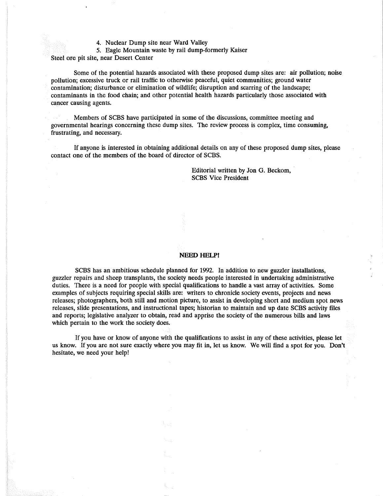4. Nuclear Dump site near Ward Valley

5. Eagle Mountain waste by rail dump-formerly Kaiser

Steel ore pit site, near Desert Center

Some of the potential hazards associated with these proposed dump sites are: air pollution; noise pollution; excessive truck or rail traffic to otherwise peaceful, quiet communities; ground water contamination; disturbance or elimination of wildlife; disruption and scarring of the landscape; contaminants in the food chain; and other potential health hazards particularly those associated with cancer causing agents.

Members of SCBS have participated in some of the discussions, committee meeting and governmental hearings concerning these dump sites. The review process is complex, time consuming, frustrating, and necessary.

If anyone is interested in obtaining additional details on any of these proposed dump sites, please contact one of the members of the board of director of SCBS.

> Editorial written by Jon G. Beckom, SCBS Vice President

#### NEED HELP!

SCBS has an ambitious schedule planned for 1992. In addition to new guzzler installations, guzzler repairs and sheep transplants, the society needs people interested in undertaking administrative duties. There is a need for people with special qualifications to handle a vast array of activities. Some examples of subjects requiring special skills are: writers to chronicle society events, projects and news releases; photographers, both still and motion picture, to assist in developing short and medium spot news releases, slide presentations, and instructional tapes; historian to maintain and up date SCBS activity files and reports; legislative analyzer to obtain, read and apprise the society of the numerous bills and laws which pertain to the work the society does.

If you have or know of anyone with the qualifications to assist in any of these activities, please let us know. If you are not sure exactly where you may fit in, let us know. We will find a spot for you. Don't hesitate, we need your help!